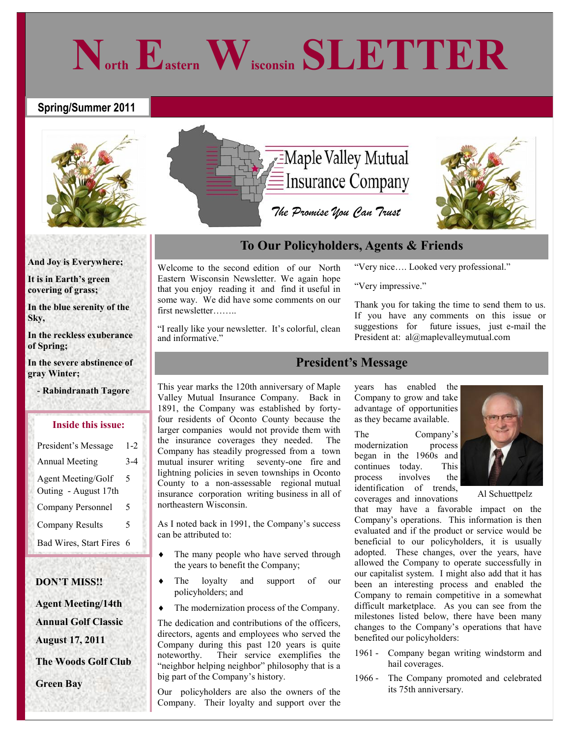# **Spring/Summer 2011**



# **And Joy is Everywhere;**

**It is in Earth's green covering of grass;**

**In the blue serenity of the Sky,**

**In the reckless exuberance of Spring;**

**In the severe abstinence of gray Winter;** 

 **- Rabindranath Tagore**

### **Inside this issue:**

| President's Message                        | $1 - 2$ |
|--------------------------------------------|---------|
| <b>Annual Meeting</b>                      | $3 - 4$ |
| Agent Meeting/Golf<br>Outing - August 17th | 5       |
| Company Personnel                          | 5       |
| <b>Company Results</b>                     | 5       |
| Bad Wires, Start Fires                     | 6       |

# **DON'T MISS!!**

 **Agent Meeting/14th Annual Golf Classic August 17, 2011** 

 **The Woods Golf Club**

 **Green Bay**



**North Eastern Wisconsin SLETTER**

# **To Our Policyholders, Agents & Friends**

Welcome to the second edition of our North Eastern Wisconsin Newsletter. We again hope that you enjoy reading it and find it useful in some way. We did have some comments on our first newsletter……..

"I really like your newsletter. It's colorful, clean and informative."

This year marks the 120th anniversary of Maple Valley Mutual Insurance Company. Back in 1891, the Company was established by fortyfour residents of Oconto County because the larger companies would not provide them with the insurance coverages they needed. The Company has steadily progressed from a town mutual insurer writing seventy-one fire and lightning policies in seven townships in Oconto County to a non-assessable regional mutual insurance corporation writing business in all of northeastern Wisconsin.

As I noted back in 1991, the Company's success can be attributed to:

- The many people who have served through the years to benefit the Company;
- The loyalty and support of our policyholders; and
- The modernization process of the Company.

The dedication and contributions of the officers, directors, agents and employees who served the Company during this past 120 years is quite noteworthy. Their service exemplifies the "neighbor helping neighbor" philosophy that is a big part of the Company's history.

Our policyholders are also the owners of the Company. Their loyalty and support over the

# "Very nice…. Looked very professional."

"Very impressive."

Thank you for taking the time to send them to us. If you have any comments on this issue or suggestions for future issues, just e-mail the President at: al@maplevalleymutual.com

# **President's Message**

years has enabled the Company to grow and take advantage of opportunities as they became available.

The Company's modernization process began in the 1960s and continues today. This process involves the identification of trends, coverages and innovations

Al Schuettpelz

that may have a favorable impact on the Company's operations. This information is then evaluated and if the product or service would be beneficial to our policyholders, it is usually adopted. These changes, over the years, have allowed the Company to operate successfully in our capitalist system. I might also add that it has been an interesting process and enabled the Company to remain competitive in a somewhat difficult marketplace. As you can see from the milestones listed below, there have been many changes to the Company's operations that have benefited our policyholders:

- 1961 Company began writing windstorm and hail coverages.
- 1966 The Company promoted and celebrated its 75th anniversary.

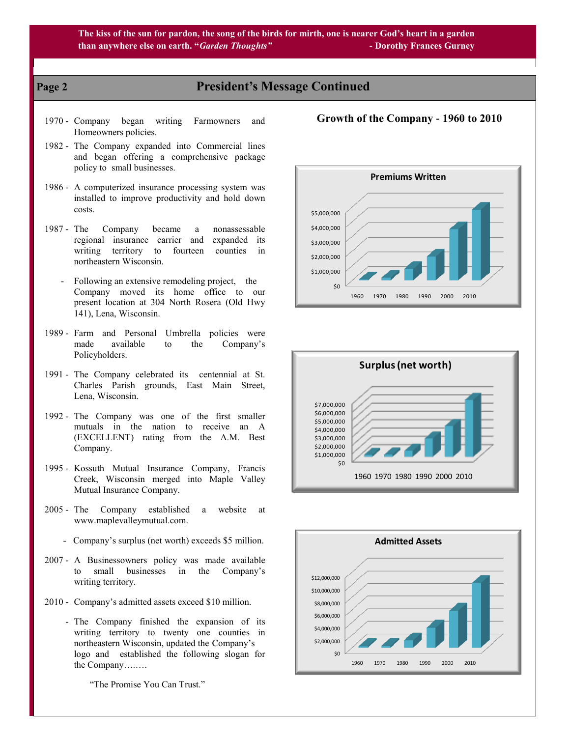# **Page 2 President's Message Continued**

- 1970 Company began writing Farmowners and Homeowners policies.
- 1982 The Company expanded into Commercial lines and began offering a comprehensive package policy to small businesses.
- 1986 A computerized insurance processing system was installed to improve productivity and hold down costs.
- 1987 The Company became a nonassessable regional insurance carrier and expanded its writing territory to fourteen counties in northeastern Wisconsin.
	- Following an extensive remodeling project, the Company moved its home office to our present location at 304 North Rosera (Old Hwy 141), Lena, Wisconsin.
- 1989 Farm and Personal Umbrella policies were made available to the Company's Policyholders.
- 1991 The Company celebrated its centennial at St. Charles Parish grounds, East Main Street, Lena, Wisconsin.
- 1992 The Company was one of the first smaller mutuals in the nation to receive an A (EXCELLENT) rating from the A.M. Best Company.
- 1995 Kossuth Mutual Insurance Company, Francis Creek, Wisconsin merged into Maple Valley Mutual Insurance Company.
- 2005 The Company established a website at www.maplevalleymutual.com.
	- Company's surplus (net worth) exceeds \$5 million.
- 2007 A Businessowners policy was made available to small businesses in the Company's writing territory.
- 2010 Company's admitted assets exceed \$10 million.
	- The Company finished the expansion of its writing territory to twenty one counties in northeastern Wisconsin, updated the Company's logo and established the following slogan for the Company….….

"The Promise You Can Trust."

# **Growth of the Company - 1960 to 2010**





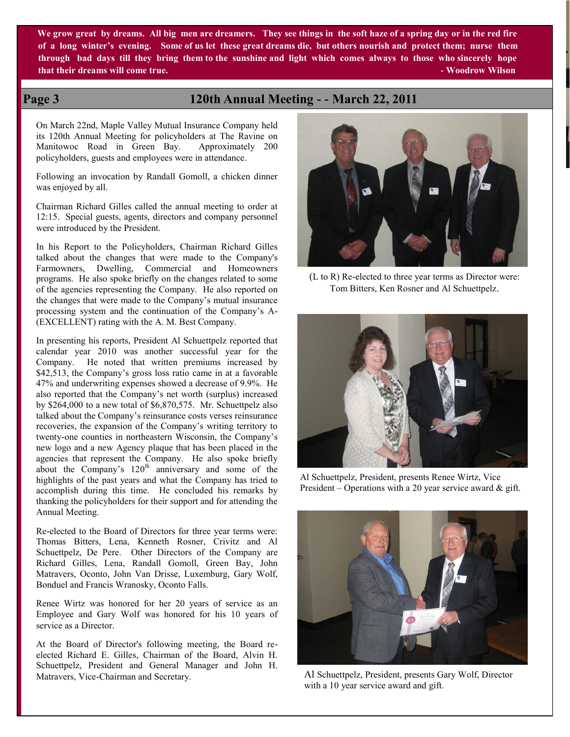**We grow great by dreams. All big men are dreamers. They see things in the soft haze of a spring day or in the red fire of a long winter's evening. Some of us let these great dreams die, but others nourish and protect them; nurse them through bad days till they bring them to the sunshine and light which comes always to those who sincerely hope that their dreams will come true. - Woodrow Wilson** 

# **Page 3 120th Annual Meeting - - March 22, 2011**

On March 22nd, Maple Valley Mutual Insurance Company held its 120th Annual Meeting for policyholders at The Ravine on Manitowoc Road in Green Bay. Approximately 200 policyholders, guests and employees were in attendance.

Following an invocation by Randall Gomoll, a chicken dinner was enjoyed by all.

Chairman Richard Gilles called the annual meeting to order at 12:15. Special guests, agents, directors and company personnel were introduced by the President.

In his Report to the Policyholders, Chairman Richard Gilles talked about the changes that were made to the Company's Farmowners, Dwelling, Commercial and Homeowners programs. He also spoke briefly on the changes related to some of the agencies representing the Company. He also reported on the changes that were made to the Company's mutual insurance processing system and the continuation of the Company's A- (EXCELLENT) rating with the A. M. Best Company.

In presenting his reports, President Al Schuettpelz reported that calendar year 2010 was another successful year for the Company. He noted that written premiums increased by \$42,513, the Company's gross loss ratio came in at a favorable 47% and underwriting expenses showed a decrease of 9.9%. He also reported that the Company's net worth (surplus) increased by \$264,000 to a new total of \$6,870,575. Mr. Schuettpelz also talked about the Company's reinsurance costs verses reinsurance recoveries, the expansion of the Company's writing territory to twenty-one counties in northeastern Wisconsin, the Company's new logo and a new Agency plaque that has been placed in the agencies that represent the Company. He also spoke briefly about the Company's  $120<sup>th</sup>$  anniversary and some of the highlights of the past years and what the Company has tried to accomplish during this time. He concluded his remarks by thanking the policyholders for their support and for attending the Annual Meeting.

Re-elected to the Board of Directors for three year terms were: Thomas Bitters, Lena, Kenneth Rosner, Crivitz and Al Schuettpelz, De Pere. Other Directors of the Company are Richard Gilles, Lena, Randall Gomoll, Green Bay, John Matravers, Oconto, John Van Drisse, Luxemburg, Gary Wolf, Bonduel and Francis Wranosky, Oconto Falls.

Renee Wirtz was honored for her 20 years of service as an Employee and Gary Wolf was honored for his 10 years of service as a Director.

At the Board of Director's following meeting, the Board reelected Richard E. Gilles, Chairman of the Board, Alvin H. Schuettpelz, President and General Manager and John H. Matravers, Vice-Chairman and Secretary.



(L to R) Re-elected to three year terms as Director were: Tom Bitters, Ken Rosner and Al Schuettpelz.



Al Schuettpelz, President, presents Renee Wirtz, Vice President – Operations with a 20 year service award  $\&$  gift.



Al Schuettpelz, President, presents Gary Wolf, Director with a 10 year service award and gift.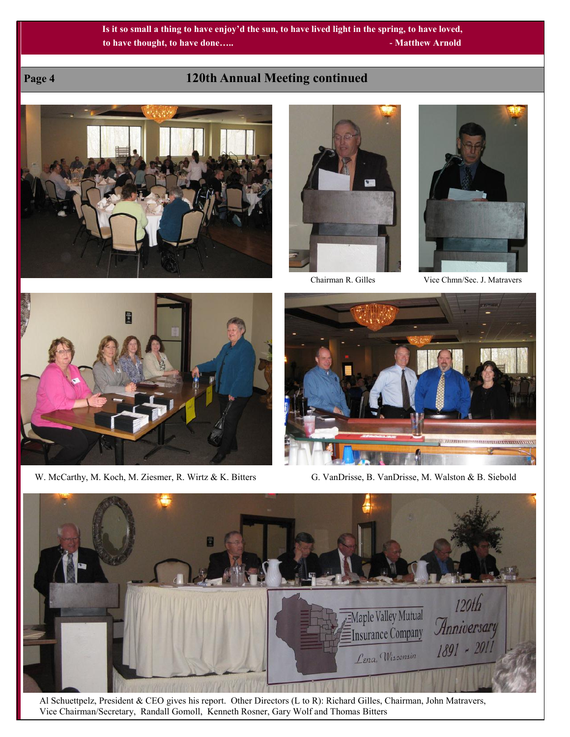# **Page 4 120th Annual Meeting continued**







Chairman R. Gilles Vice Chmn/Sec. J. Matravers



W. McCarthy, M. Koch, M. Ziesmer, R. Wirtz & K. Bitters G. VanDrisse, B. VanDrisse, M. Walston & B. Siebold





 Al Schuettpelz, President & CEO gives his report. Other Directors (L to R): Richard Gilles, Chairman, John Matravers, Vice Chairman/Secretary, Randall Gomoll, Kenneth Rosner, Gary Wolf and Thomas Bitters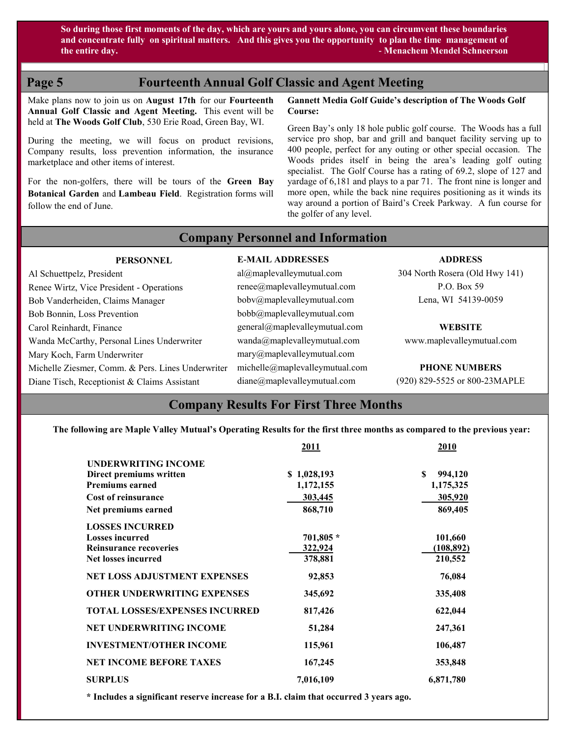**So during those first moments of the day, which are yours and yours alone, you can circumvent these boundaries and concentrate fully on spiritual matters. And this gives you the opportunity to plan the time management of the entire day. - Menachem Mendel Schneerson**

# **Page 5 Fourteenth Annual Golf Classic and Agent Meeting**

Make plans now to join us on **August 17th** for our **Fourteenth Annual Golf Classic and Agent Meeting.** This event will be held at **The Woods Golf Club**, 530 Erie Road, Green Bay, WI.

During the meeting, we will focus on product revisions, Company results, loss prevention information, the insurance marketplace and other items of interest.

For the non-golfers, there will be tours of the **Green Bay Botanical Garden** and **Lambeau Field**. Registration forms will follow the end of June.

### **Gannett Media Golf Guide's description of The Woods Golf Course:**

Green Bay's only 18 hole public golf course. The Woods has a full service pro shop, bar and grill and banquet facility serving up to 400 people, perfect for any outing or other special occasion. The Woods prides itself in being the area's leading golf outing specialist. The Golf Course has a rating of 69.2, slope of 127 and yardage of 6,181 and plays to a par 71. The front nine is longer and more open, while the back nine requires positioning as it winds its way around a portion of Baird's Creek Parkway. A fun course for the golfer of any level.

 **Company Personnel and Information** 

## **PERSONNEL**

# **E-MAIL ADDRESSES**

Al Schuettpelz, President Renee Wirtz, Vice President - Operations Bob Vanderheiden, Claims Manager Bob Bonnin, Loss Prevention Carol Reinhardt, Finance Wanda McCarthy, Personal Lines Underwriter Mary Koch, Farm Underwriter Michelle Ziesmer, Comm. & Pers. Lines Underwriter Diane Tisch, Receptionist & Claims Assistant

al@maplevalleymutual.com renee@maplevalleymutual.com bobv@maplevalleymutual.com bobb@maplevalleymutual.com general@maplevalleymutual.com wanda@maplevalleymutual.com mary@maplevalleymutual.com michelle@maplevalleymutual.com diane@maplevalleymutual.com

### **ADDRESS**

304 North Rosera (Old Hwy 141) P.O. Box 59 Lena, WI 54139-0059

**WEBSITE**

www.maplevalleymutual.com

**PHONE NUMBERS**

(920) 829-5525 or 800-23MAPLE

# **Company Results For First Three Months**

**The following are Maple Valley Mutual's Operating Results for the first three months as compared to the previous year:**

|                                       | 2011        | 2010          |
|---------------------------------------|-------------|---------------|
| <b>UNDERWRITING INCOME</b>            |             |               |
| Direct premiums written               | \$1,028,193 | S.<br>994,120 |
| <b>Premiums earned</b>                | 1,172,155   | 1,175,325     |
| <b>Cost of reinsurance</b>            | 303,445     | 305,920       |
| Net premiums earned                   | 868,710     | 869,405       |
| <b>LOSSES INCURRED</b>                |             |               |
| <b>Losses incurred</b>                | 701,805 *   | 101,660       |
| <b>Reinsurance recoveries</b>         | 322,924     | (108, 892)    |
| <b>Net losses incurred</b>            | 378,881     | 210,552       |
| <b>NET LOSS ADJUSTMENT EXPENSES</b>   | 92,853      | 76,084        |
| <b>OTHER UNDERWRITING EXPENSES</b>    | 345,692     | 335,408       |
| <b>TOTAL LOSSES/EXPENSES INCURRED</b> | 817,426     | 622,044       |
| <b>NET UNDERWRITING INCOME</b>        | 51,284      | 247,361       |
| <b>INVESTMENT/OTHER INCOME</b>        | 115,961     | 106,487       |
| <b>NET INCOME BEFORE TAXES</b>        | 167,245     | 353,848       |
| <b>SURPLUS</b>                        | 7,016,109   | 6,871,780     |

**\* Includes a significant reserve increase for a B.I. claim that occurred 3 years ago.**